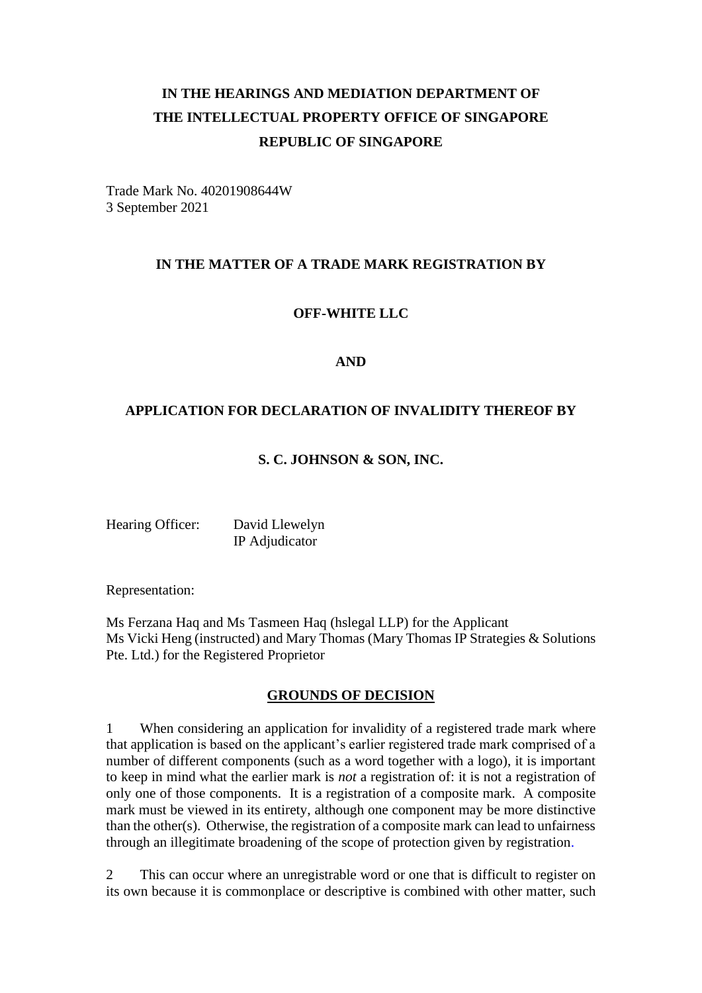# **IN THE HEARINGS AND MEDIATION DEPARTMENT OF THE INTELLECTUAL PROPERTY OFFICE OF SINGAPORE REPUBLIC OF SINGAPORE**

Trade Mark No. 40201908644W 3 September 2021

## **IN THE MATTER OF A TRADE MARK REGISTRATION BY**

#### **OFF-WHITE LLC**

#### **AND**

## **APPLICATION FOR DECLARATION OF INVALIDITY THEREOF BY**

#### **S. C. JOHNSON & SON, INC.**

Hearing Officer: David Llewelyn IP Adjudicator

Representation:

Ms Ferzana Haq and Ms Tasmeen Haq (hslegal LLP) for the Applicant Ms Vicki Heng (instructed) and Mary Thomas (Mary Thomas IP Strategies & Solutions Pte. Ltd.) for the Registered Proprietor

#### **GROUNDS OF DECISION**

1 When considering an application for invalidity of a registered trade mark where that application is based on the applicant's earlier registered trade mark comprised of a number of different components (such as a word together with a logo), it is important to keep in mind what the earlier mark is *not* a registration of: it is not a registration of only one of those components. It is a registration of a composite mark. A composite mark must be viewed in its entirety, although one component may be more distinctive than the other(s). Otherwise, the registration of a composite mark can lead to unfairness through an illegitimate broadening of the scope of protection given by registration.

2 This can occur where an unregistrable word or one that is difficult to register on its own because it is commonplace or descriptive is combined with other matter, such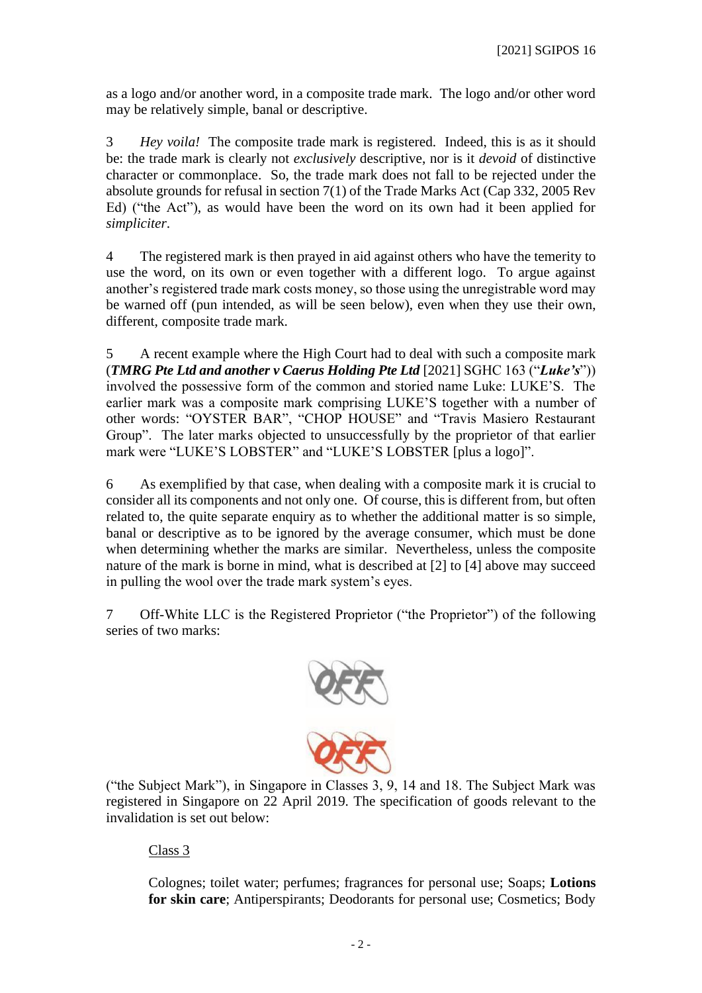as a logo and/or another word, in a composite trade mark. The logo and/or other word may be relatively simple, banal or descriptive.

3 *Hey voila!* The composite trade mark is registered. Indeed, this is as it should be: the trade mark is clearly not *exclusively* descriptive, nor is it *devoid* of distinctive character or commonplace. So, the trade mark does not fall to be rejected under the absolute grounds for refusal in section 7(1) of the Trade Marks Act (Cap 332, 2005 Rev Ed) ("the Act"), as would have been the word on its own had it been applied for *simpliciter*.

4 The registered mark is then prayed in aid against others who have the temerity to use the word, on its own or even together with a different logo. To argue against another's registered trade mark costs money, so those using the unregistrable word may be warned off (pun intended, as will be seen below), even when they use their own, different, composite trade mark.

5 A recent example where the High Court had to deal with such a composite mark (*TMRG Pte Ltd and another v Caerus Holding Pte Ltd* [2021] SGHC 163 ("*Luke's*")) involved the possessive form of the common and storied name Luke: LUKE'S. The earlier mark was a composite mark comprising LUKE'S together with a number of other words: "OYSTER BAR", "CHOP HOUSE" and "Travis Masiero Restaurant Group". The later marks objected to unsuccessfully by the proprietor of that earlier mark were "LUKE'S LOBSTER" and "LUKE'S LOBSTER [plus a logo]".

6 As exemplified by that case, when dealing with a composite mark it is crucial to consider all its components and not only one. Of course, this is different from, but often related to, the quite separate enquiry as to whether the additional matter is so simple, banal or descriptive as to be ignored by the average consumer, which must be done when determining whether the marks are similar. Nevertheless, unless the composite nature of the mark is borne in mind, what is described at [2] to [4] above may succeed in pulling the wool over the trade mark system's eyes.

7 Off-White LLC is the Registered Proprietor ("the Proprietor") of the following series of two marks:



("the Subject Mark"), in Singapore in Classes 3, 9, 14 and 18. The Subject Mark was registered in Singapore on 22 April 2019. The specification of goods relevant to the invalidation is set out below:

Class 3

Colognes; toilet water; perfumes; fragrances for personal use; Soaps; **Lotions for skin care**; Antiperspirants; Deodorants for personal use; Cosmetics; Body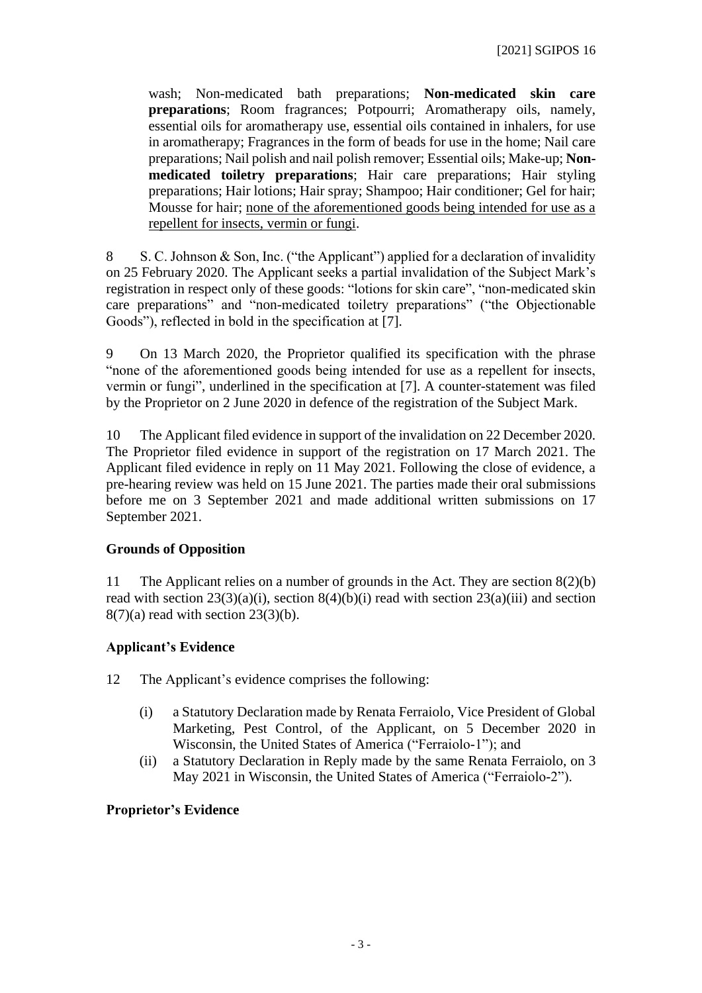wash; Non-medicated bath preparations; **Non-medicated skin care preparations**; Room fragrances; Potpourri; Aromatherapy oils, namely, essential oils for aromatherapy use, essential oils contained in inhalers, for use in aromatherapy; Fragrances in the form of beads for use in the home; Nail care preparations; Nail polish and nail polish remover; Essential oils; Make-up; **Nonmedicated toiletry preparations**; Hair care preparations; Hair styling preparations; Hair lotions; Hair spray; Shampoo; Hair conditioner; Gel for hair; Mousse for hair; none of the aforementioned goods being intended for use as a repellent for insects, vermin or fungi.

8 S. C. Johnson & Son, Inc. ("the Applicant") applied for a declaration of invalidity on 25 February 2020. The Applicant seeks a partial invalidation of the Subject Mark's registration in respect only of these goods: "lotions for skin care", "non-medicated skin care preparations" and "non-medicated toiletry preparations" ("the Objectionable Goods"), reflected in bold in the specification at [7].

9 On 13 March 2020, the Proprietor qualified its specification with the phrase "none of the aforementioned goods being intended for use as a repellent for insects, vermin or fungi", underlined in the specification at [7]. A counter-statement was filed by the Proprietor on 2 June 2020 in defence of the registration of the Subject Mark.

10 The Applicant filed evidence in support of the invalidation on 22 December 2020. The Proprietor filed evidence in support of the registration on 17 March 2021. The Applicant filed evidence in reply on 11 May 2021. Following the close of evidence, a pre-hearing review was held on 15 June 2021. The parties made their oral submissions before me on 3 September 2021 and made additional written submissions on 17 September 2021.

## **Grounds of Opposition**

11 The Applicant relies on a number of grounds in the Act. They are section 8(2)(b) read with section  $23(3)(a)(i)$ , section  $8(4)(b)(i)$  read with section  $23(a)(iii)$  and section  $8(7)(a)$  read with section  $23(3)(b)$ .

## **Applicant's Evidence**

12 The Applicant's evidence comprises the following:

- (i) a Statutory Declaration made by Renata Ferraiolo, Vice President of Global Marketing, Pest Control, of the Applicant, on 5 December 2020 in Wisconsin, the United States of America ("Ferraiolo-1"); and
- (ii) a Statutory Declaration in Reply made by the same Renata Ferraiolo, on 3 May 2021 in Wisconsin, the United States of America ("Ferraiolo-2").

## **Proprietor's Evidence**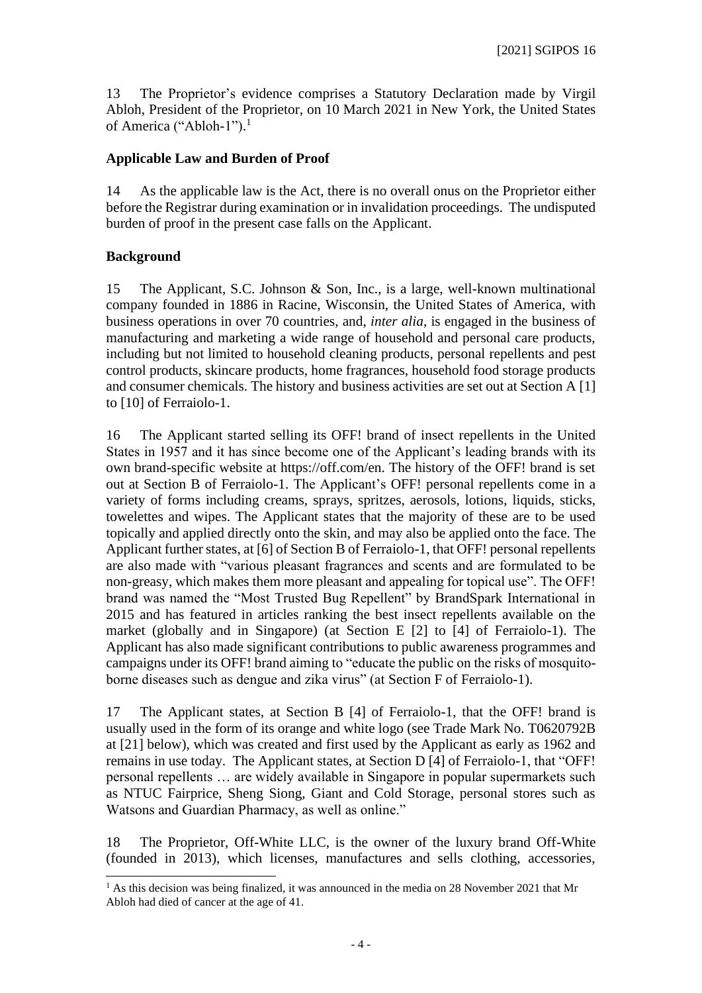13 The Proprietor's evidence comprises a Statutory Declaration made by Virgil Abloh, President of the Proprietor, on 10 March 2021 in New York, the United States of America ("Abloh-1").<sup>1</sup>

## **Applicable Law and Burden of Proof**

14 As the applicable law is the Act, there is no overall onus on the Proprietor either before the Registrar during examination or in invalidation proceedings. The undisputed burden of proof in the present case falls on the Applicant.

## **Background**

15 The Applicant, S.C. Johnson & Son, Inc., is a large, well-known multinational company founded in 1886 in Racine, Wisconsin, the United States of America, with business operations in over 70 countries, and, *inter alia*, is engaged in the business of manufacturing and marketing a wide range of household and personal care products, including but not limited to household cleaning products, personal repellents and pest control products, skincare products, home fragrances, household food storage products and consumer chemicals. The history and business activities are set out at Section A [1] to [10] of Ferraiolo-1.

16 The Applicant started selling its OFF! brand of insect repellents in the United States in 1957 and it has since become one of the Applicant's leading brands with its own brand-specific website at https://off.com/en. The history of the OFF! brand is set out at Section B of Ferraiolo-1. The Applicant's OFF! personal repellents come in a variety of forms including creams, sprays, spritzes, aerosols, lotions, liquids, sticks, towelettes and wipes. The Applicant states that the majority of these are to be used topically and applied directly onto the skin, and may also be applied onto the face. The Applicant further states, at [6] of Section B of Ferraiolo-1, that OFF! personal repellents are also made with "various pleasant fragrances and scents and are formulated to be non-greasy, which makes them more pleasant and appealing for topical use". The OFF! brand was named the "Most Trusted Bug Repellent" by BrandSpark International in 2015 and has featured in articles ranking the best insect repellents available on the market (globally and in Singapore) (at Section E [2] to [4] of Ferraiolo-1). The Applicant has also made significant contributions to public awareness programmes and campaigns under its OFF! brand aiming to "educate the public on the risks of mosquitoborne diseases such as dengue and zika virus" (at Section F of Ferraiolo-1).

17 The Applicant states, at Section B [4] of Ferraiolo-1, that the OFF! brand is usually used in the form of its orange and white logo (see Trade Mark No. T0620792B at [21] below), which was created and first used by the Applicant as early as 1962 and remains in use today. The Applicant states, at Section D [4] of Ferraiolo-1, that "OFF! personal repellents … are widely available in Singapore in popular supermarkets such as NTUC Fairprice, Sheng Siong, Giant and Cold Storage, personal stores such as Watsons and Guardian Pharmacy, as well as online."

18 The Proprietor, Off-White LLC, is the owner of the luxury brand Off-White (founded in 2013), which licenses, manufactures and sells clothing, accessories,

<sup>&</sup>lt;sup>1</sup> As this decision was being finalized, it was announced in the media on 28 November 2021 that Mr Abloh had died of cancer at the age of 41.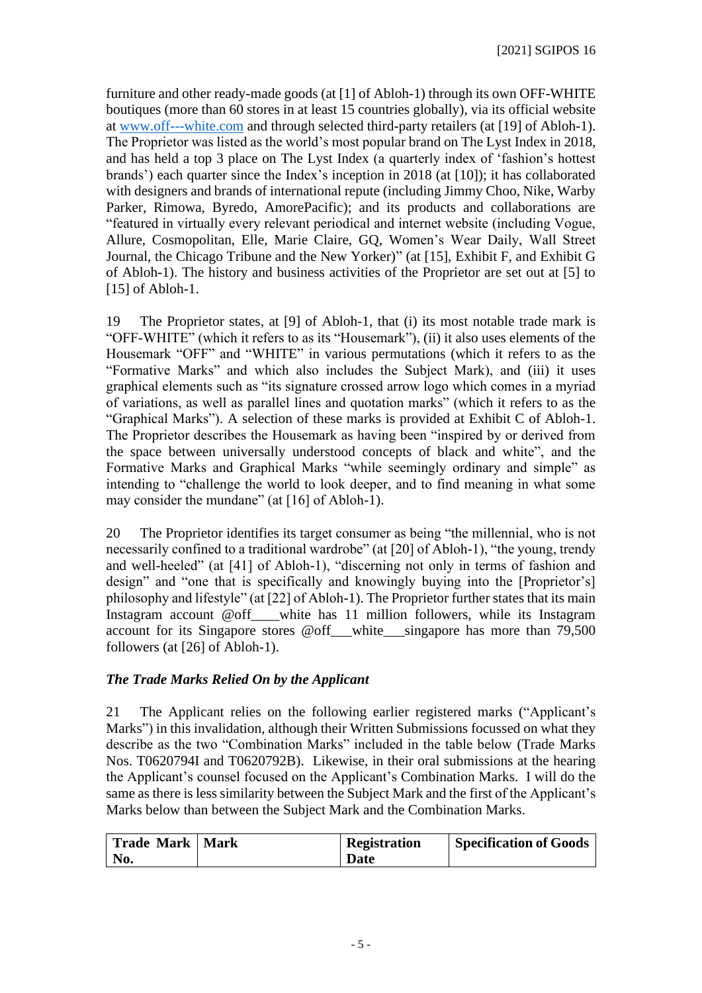furniture and other ready-made goods (at [1] of Abloh-1) through its own OFF-WHITE boutiques (more than 60 stores in at least 15 countries globally), via its official website at [www.off---white.com](http://www.off---white.com/) and through selected third-party retailers (at [19] of Abloh-1). The Proprietor was listed as the world's most popular brand on The Lyst Index in 2018, and has held a top 3 place on The Lyst Index (a quarterly index of 'fashion's hottest brands') each quarter since the Index's inception in 2018 (at [10]); it has collaborated with designers and brands of international repute (including Jimmy Choo, Nike, Warby Parker, Rimowa, Byredo, AmorePacific); and its products and collaborations are "featured in virtually every relevant periodical and internet website (including Vogue, Allure, Cosmopolitan, Elle, Marie Claire, GQ, Women's Wear Daily, Wall Street Journal, the Chicago Tribune and the New Yorker)" (at [15], Exhibit F, and Exhibit G of Abloh-1). The history and business activities of the Proprietor are set out at [5] to [15] of Abloh-1.

19 The Proprietor states, at [9] of Abloh-1, that (i) its most notable trade mark is "OFF-WHITE" (which it refers to as its "Housemark"), (ii) it also uses elements of the Housemark "OFF" and "WHITE" in various permutations (which it refers to as the "Formative Marks" and which also includes the Subject Mark), and (iii) it uses graphical elements such as "its signature crossed arrow logo which comes in a myriad of variations, as well as parallel lines and quotation marks" (which it refers to as the "Graphical Marks"). A selection of these marks is provided at Exhibit C of Abloh-1. The Proprietor describes the Housemark as having been "inspired by or derived from the space between universally understood concepts of black and white", and the Formative Marks and Graphical Marks "while seemingly ordinary and simple" as intending to "challenge the world to look deeper, and to find meaning in what some may consider the mundane" (at [16] of Abloh-1).

20 The Proprietor identifies its target consumer as being "the millennial, who is not necessarily confined to a traditional wardrobe" (at [20] of Abloh-1), "the young, trendy and well-heeled" (at [41] of Abloh-1), "discerning not only in terms of fashion and design" and "one that is specifically and knowingly buying into the [Proprietor's] philosophy and lifestyle" (at [22] of Abloh-1). The Proprietor further states that its main Instagram account @off\_\_\_\_white has 11 million followers, while its Instagram account for its Singapore stores @off\_\_\_white\_\_\_singapore has more than 79,500 followers (at [26] of Abloh-1).

# *The Trade Marks Relied On by the Applicant*

21 The Applicant relies on the following earlier registered marks ("Applicant's Marks") in this invalidation, although their Written Submissions focussed on what they describe as the two "Combination Marks" included in the table below (Trade Marks Nos. T0620794I and T0620792B). Likewise, in their oral submissions at the hearing the Applicant's counsel focused on the Applicant's Combination Marks. I will do the same as there is less similarity between the Subject Mark and the first of the Applicant's Marks below than between the Subject Mark and the Combination Marks.

| Trade Mark   Mark | Registration | <b>Specification of Goods</b> |
|-------------------|--------------|-------------------------------|
| No.               | <b>Date</b>  |                               |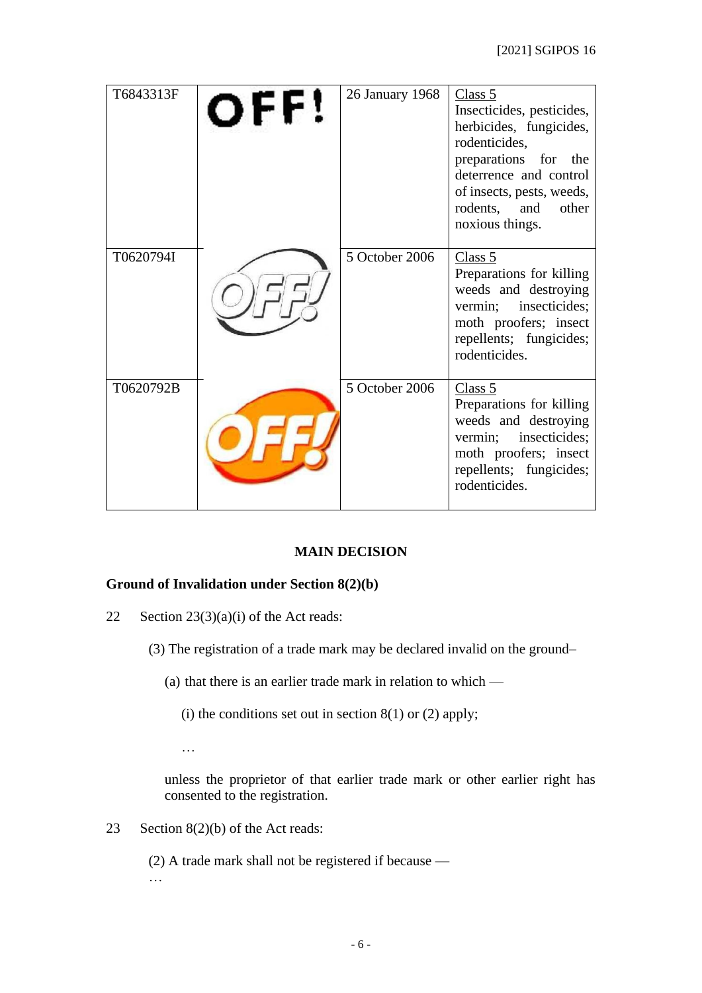| T6843313F | OFF! | 26 January 1968 | Class 5<br>Insecticides, pesticides,<br>herbicides, fungicides,<br>rodenticides,<br>preparations for the<br>deterrence and control<br>of insects, pests, weeds,<br>rodents,<br>and<br>other<br>noxious things. |
|-----------|------|-----------------|----------------------------------------------------------------------------------------------------------------------------------------------------------------------------------------------------------------|
| T0620794I |      | 5 October 2006  | Class 5<br>Preparations for killing<br>weeds and destroying<br>vermin; insecticides;<br>moth proofers; insect<br>repellents; fungicides;<br>rodenticides.                                                      |
| T0620792B |      | 5 October 2006  | Class 5<br>Preparations for killing<br>weeds and destroying<br>vermin; insecticides;<br>moth proofers; insect<br>repellents; fungicides;<br>rodenticides.                                                      |

# **MAIN DECISION**

## **Ground of Invalidation under Section 8(2)(b)**

- 22 Section  $23(3)(a)(i)$  of the Act reads:
	- (3) The registration of a trade mark may be declared invalid on the ground–
		- (a) that there is an earlier trade mark in relation to which
			- (i) the conditions set out in section  $8(1)$  or  $(2)$  apply;
			- …

unless the proprietor of that earlier trade mark or other earlier right has consented to the registration.

23 Section 8(2)(b) of the Act reads:

(2) A trade mark shall not be registered if because — …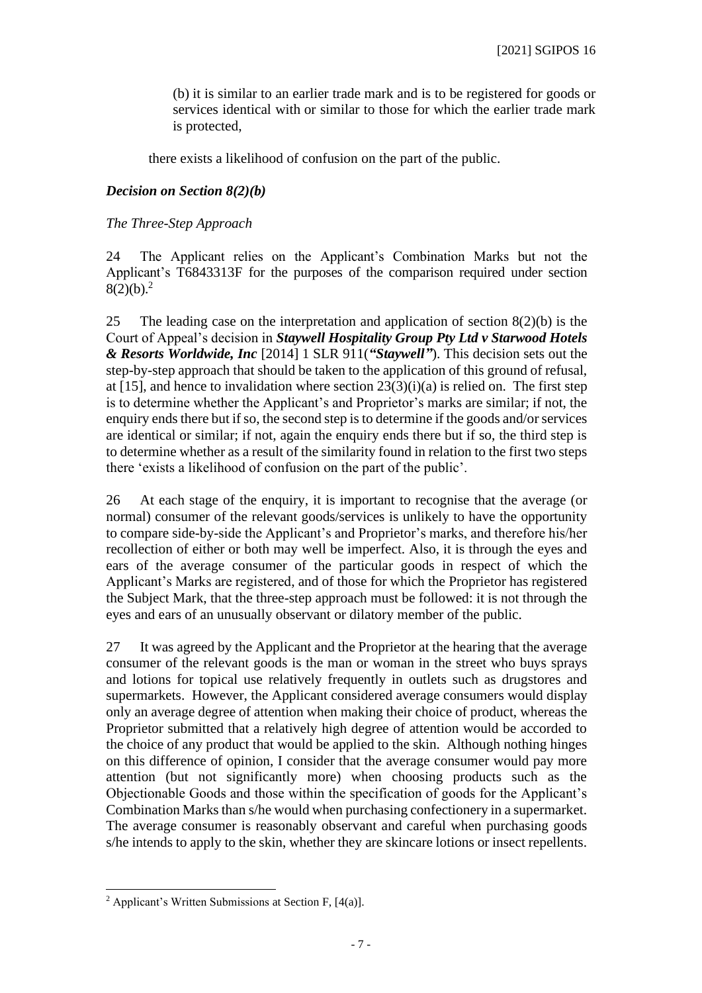(b) it is similar to an earlier trade mark and is to be registered for goods or services identical with or similar to those for which the earlier trade mark is protected,

there exists a likelihood of confusion on the part of the public.

#### *Decision on Section 8(2)(b)*

#### *The Three-Step Approach*

24 The Applicant relies on the Applicant's Combination Marks but not the Applicant's T6843313F for the purposes of the comparison required under section  $8(2)(b).<sup>2</sup>$ 

25 The leading case on the interpretation and application of section 8(2)(b) is the Court of Appeal's decision in *Staywell Hospitality Group Pty Ltd v Starwood Hotels & Resorts Worldwide, Inc* [2014] 1 SLR 911(*"Staywell"*). This decision sets out the step-by-step approach that should be taken to the application of this ground of refusal, at [15], and hence to invalidation where section  $23(3)(i)(a)$  is relied on. The first step is to determine whether the Applicant's and Proprietor's marks are similar; if not, the enquiry ends there but if so, the second step is to determine if the goods and/or services are identical or similar; if not, again the enquiry ends there but if so, the third step is to determine whether as a result of the similarity found in relation to the first two steps there 'exists a likelihood of confusion on the part of the public'.

26 At each stage of the enquiry, it is important to recognise that the average (or normal) consumer of the relevant goods/services is unlikely to have the opportunity to compare side-by-side the Applicant's and Proprietor's marks, and therefore his/her recollection of either or both may well be imperfect. Also, it is through the eyes and ears of the average consumer of the particular goods in respect of which the Applicant's Marks are registered, and of those for which the Proprietor has registered the Subject Mark, that the three-step approach must be followed: it is not through the eyes and ears of an unusually observant or dilatory member of the public.

27 It was agreed by the Applicant and the Proprietor at the hearing that the average consumer of the relevant goods is the man or woman in the street who buys sprays and lotions for topical use relatively frequently in outlets such as drugstores and supermarkets. However, the Applicant considered average consumers would display only an average degree of attention when making their choice of product, whereas the Proprietor submitted that a relatively high degree of attention would be accorded to the choice of any product that would be applied to the skin. Although nothing hinges on this difference of opinion, I consider that the average consumer would pay more attention (but not significantly more) when choosing products such as the Objectionable Goods and those within the specification of goods for the Applicant's Combination Marks than s/he would when purchasing confectionery in a supermarket. The average consumer is reasonably observant and careful when purchasing goods s/he intends to apply to the skin, whether they are skincare lotions or insect repellents.

<sup>&</sup>lt;sup>2</sup> Applicant's Written Submissions at Section F,  $[4(a)]$ .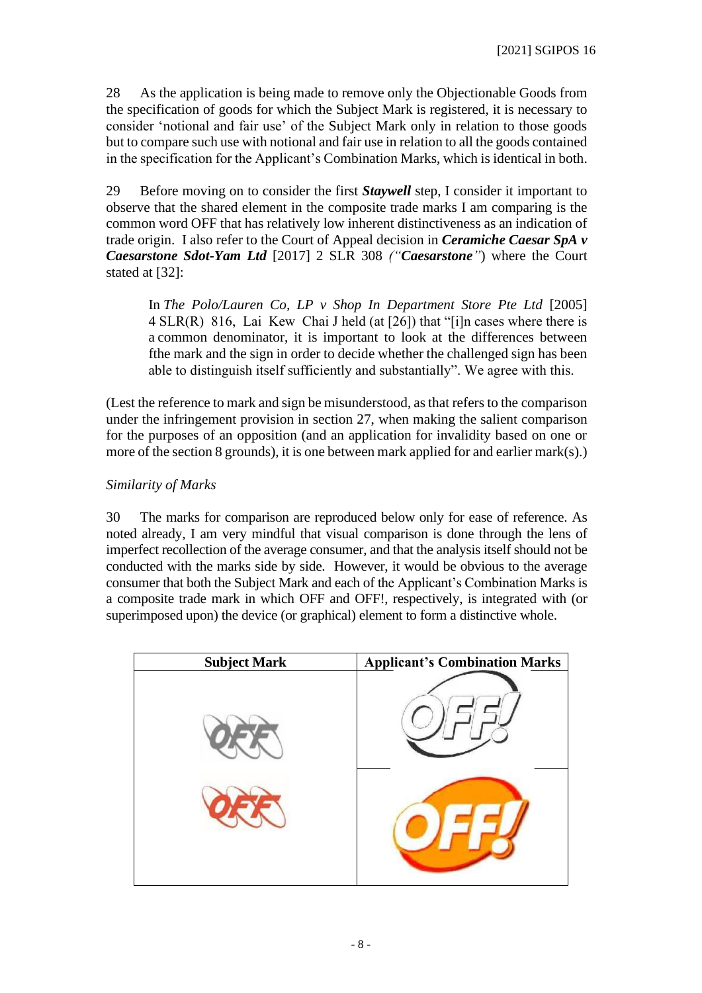28 As the application is being made to remove only the Objectionable Goods from the specification of goods for which the Subject Mark is registered, it is necessary to consider 'notional and fair use' of the Subject Mark only in relation to those goods but to compare such use with notional and fair use in relation to all the goods contained in the specification for the Applicant's Combination Marks, which is identical in both.

29 Before moving on to consider the first *Staywell* step, I consider it important to observe that the shared element in the composite trade marks I am comparing is the common word OFF that has relatively low inherent distinctiveness as an indication of trade origin. I also refer to the Court of Appeal decision in *Ceramiche Caesar SpA v Caesarstone Sdot-Yam Ltd* [2017] 2 SLR 308 *("Caesarstone"*) where the Court stated at [32]:

In *The Polo/Lauren Co, LP v Shop In Department Store Pte Ltd* [2005] 4 SLR(R) 816, Lai Kew Chai J held (at [26]) that "[i]n cases where there is a common denominator, it is important to look at the differences between fthe mark and the sign in order to decide whether the challenged sign has been able to distinguish itself sufficiently and substantially". We agree with this.

(Lest the reference to mark and sign be misunderstood, as that refers to the comparison under the infringement provision in section 27, when making the salient comparison for the purposes of an opposition (and an application for invalidity based on one or more of the section 8 grounds), it is one between mark applied for and earlier mark(s).)

# *Similarity of Marks*

30 The marks for comparison are reproduced below only for ease of reference. As noted already, I am very mindful that visual comparison is done through the lens of imperfect recollection of the average consumer, and that the analysis itself should not be conducted with the marks side by side. However, it would be obvious to the average consumer that both the Subject Mark and each of the Applicant's Combination Marks is a composite trade mark in which OFF and OFF!, respectively, is integrated with (or superimposed upon) the device (or graphical) element to form a distinctive whole.

| <b>Subject Mark</b> | <b>Applicant's Combination Marks</b> |
|---------------------|--------------------------------------|
|                     |                                      |
|                     |                                      |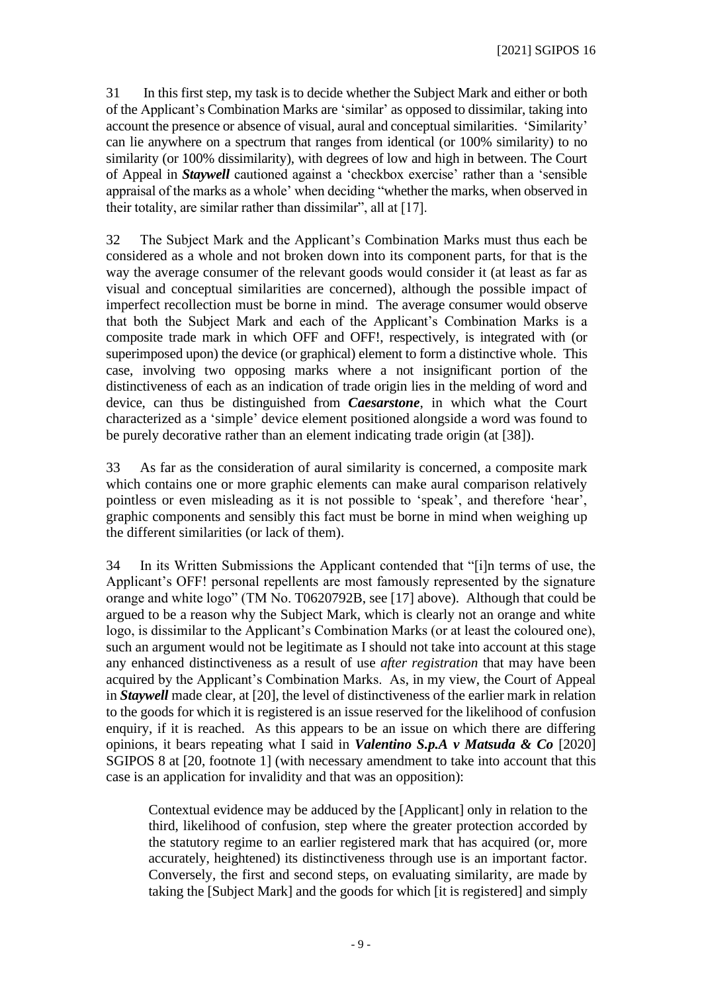31 In this first step, my task is to decide whether the Subject Mark and either or both of the Applicant's Combination Marks are 'similar' as opposed to dissimilar, taking into account the presence or absence of visual, aural and conceptual similarities. 'Similarity' can lie anywhere on a spectrum that ranges from identical (or 100% similarity) to no similarity (or 100% dissimilarity), with degrees of low and high in between. The Court of Appeal in *Staywell* cautioned against a 'checkbox exercise' rather than a 'sensible appraisal of the marks as a whole' when deciding "whether the marks, when observed in their totality, are similar rather than dissimilar", all at [17].

32 The Subject Mark and the Applicant's Combination Marks must thus each be considered as a whole and not broken down into its component parts, for that is the way the average consumer of the relevant goods would consider it (at least as far as visual and conceptual similarities are concerned), although the possible impact of imperfect recollection must be borne in mind. The average consumer would observe that both the Subject Mark and each of the Applicant's Combination Marks is a composite trade mark in which OFF and OFF!, respectively, is integrated with (or superimposed upon) the device (or graphical) element to form a distinctive whole. This case, involving two opposing marks where a not insignificant portion of the distinctiveness of each as an indication of trade origin lies in the melding of word and device, can thus be distinguished from *Caesarstone*, in which what the Court characterized as a 'simple' device element positioned alongside a word was found to be purely decorative rather than an element indicating trade origin (at [38]).

33 As far as the consideration of aural similarity is concerned, a composite mark which contains one or more graphic elements can make aural comparison relatively pointless or even misleading as it is not possible to 'speak', and therefore 'hear', graphic components and sensibly this fact must be borne in mind when weighing up the different similarities (or lack of them).

34 In its Written Submissions the Applicant contended that "[i]n terms of use, the Applicant's OFF! personal repellents are most famously represented by the signature orange and white logo" (TM No. T0620792B, see [17] above). Although that could be argued to be a reason why the Subject Mark, which is clearly not an orange and white logo, is dissimilar to the Applicant's Combination Marks (or at least the coloured one), such an argument would not be legitimate as I should not take into account at this stage any enhanced distinctiveness as a result of use *after registration* that may have been acquired by the Applicant's Combination Marks. As, in my view, the Court of Appeal in *Staywell* made clear, at [20], the level of distinctiveness of the earlier mark in relation to the goods for which it is registered is an issue reserved for the likelihood of confusion enquiry, if it is reached. As this appears to be an issue on which there are differing opinions, it bears repeating what I said in *Valentino S.p.A v Matsuda & Co* [2020] SGIPOS 8 at [20, footnote 1] (with necessary amendment to take into account that this case is an application for invalidity and that was an opposition):

Contextual evidence may be adduced by the [Applicant] only in relation to the third, likelihood of confusion, step where the greater protection accorded by the statutory regime to an earlier registered mark that has acquired (or, more accurately, heightened) its distinctiveness through use is an important factor. Conversely, the first and second steps, on evaluating similarity, are made by taking the [Subject Mark] and the goods for which [it is registered] and simply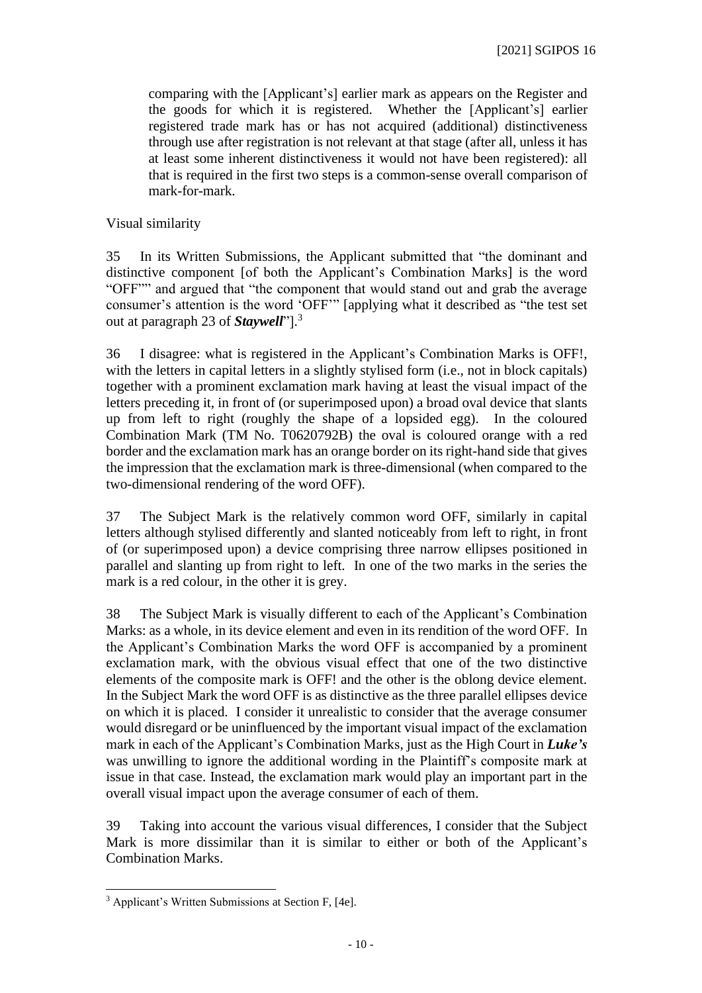comparing with the [Applicant's] earlier mark as appears on the Register and the goods for which it is registered. Whether the [Applicant's] earlier registered trade mark has or has not acquired (additional) distinctiveness through use after registration is not relevant at that stage (after all, unless it has at least some inherent distinctiveness it would not have been registered): all that is required in the first two steps is a common-sense overall comparison of mark-for-mark.

Visual similarity

35 In its Written Submissions, the Applicant submitted that "the dominant and distinctive component [of both the Applicant's Combination Marks] is the word "OFF"" and argued that "the component that would stand out and grab the average consumer's attention is the word 'OFF'" [applying what it described as "the test set out at paragraph 23 of *Staywell*"]. 3

36 I disagree: what is registered in the Applicant's Combination Marks is OFF!, with the letters in capital letters in a slightly stylised form (i.e., not in block capitals) together with a prominent exclamation mark having at least the visual impact of the letters preceding it, in front of (or superimposed upon) a broad oval device that slants up from left to right (roughly the shape of a lopsided egg). In the coloured Combination Mark (TM No. T0620792B) the oval is coloured orange with a red border and the exclamation mark has an orange border on its right-hand side that gives the impression that the exclamation mark is three-dimensional (when compared to the two-dimensional rendering of the word OFF).

37 The Subject Mark is the relatively common word OFF, similarly in capital letters although stylised differently and slanted noticeably from left to right, in front of (or superimposed upon) a device comprising three narrow ellipses positioned in parallel and slanting up from right to left. In one of the two marks in the series the mark is a red colour, in the other it is grey.

38 The Subject Mark is visually different to each of the Applicant's Combination Marks: as a whole, in its device element and even in its rendition of the word OFF. In the Applicant's Combination Marks the word OFF is accompanied by a prominent exclamation mark, with the obvious visual effect that one of the two distinctive elements of the composite mark is OFF! and the other is the oblong device element. In the Subject Mark the word OFF is as distinctive as the three parallel ellipses device on which it is placed. I consider it unrealistic to consider that the average consumer would disregard or be uninfluenced by the important visual impact of the exclamation mark in each of the Applicant's Combination Marks, just as the High Court in *Luke's* was unwilling to ignore the additional wording in the Plaintiff's composite mark at issue in that case. Instead, the exclamation mark would play an important part in the overall visual impact upon the average consumer of each of them.

39 Taking into account the various visual differences, I consider that the Subject Mark is more dissimilar than it is similar to either or both of the Applicant's Combination Marks.

<sup>3</sup> Applicant's Written Submissions at Section F, [4e].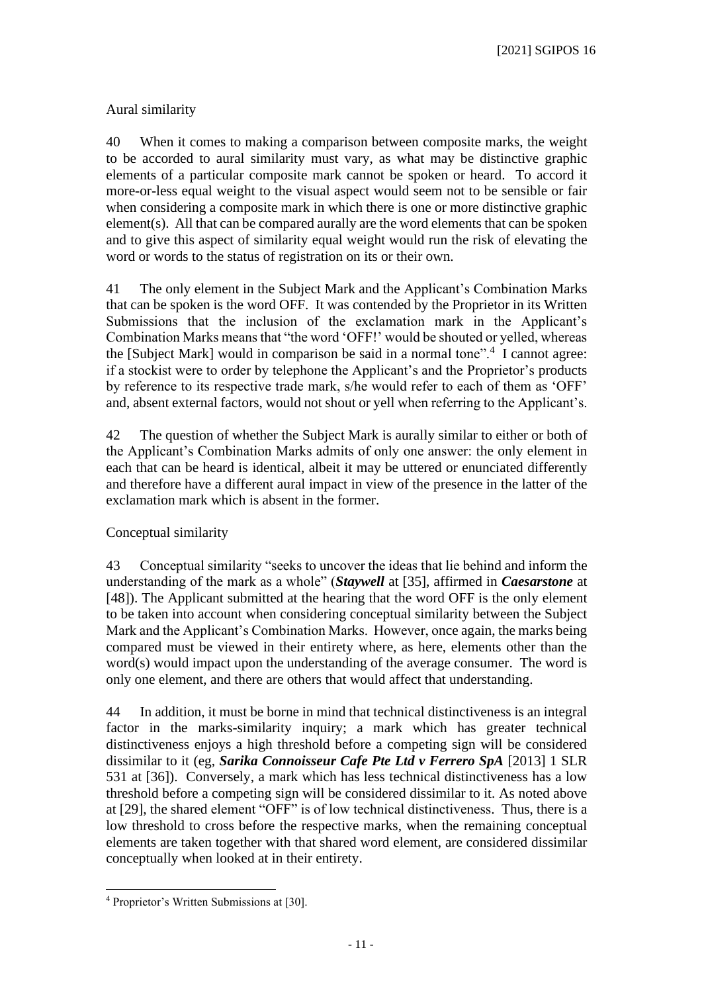[2021] SGIPOS 16

## Aural similarity

40 When it comes to making a comparison between composite marks, the weight to be accorded to aural similarity must vary, as what may be distinctive graphic elements of a particular composite mark cannot be spoken or heard. To accord it more-or-less equal weight to the visual aspect would seem not to be sensible or fair when considering a composite mark in which there is one or more distinctive graphic element(s). All that can be compared aurally are the word elements that can be spoken and to give this aspect of similarity equal weight would run the risk of elevating the word or words to the status of registration on its or their own.

41 The only element in the Subject Mark and the Applicant's Combination Marks that can be spoken is the word OFF. It was contended by the Proprietor in its Written Submissions that the inclusion of the exclamation mark in the Applicant's Combination Marks means that "the word 'OFF!' would be shouted or yelled, whereas the [Subject Mark] would in comparison be said in a normal tone".<sup>4</sup> I cannot agree: if a stockist were to order by telephone the Applicant's and the Proprietor's products by reference to its respective trade mark, s/he would refer to each of them as 'OFF' and, absent external factors, would not shout or yell when referring to the Applicant's.

42 The question of whether the Subject Mark is aurally similar to either or both of the Applicant's Combination Marks admits of only one answer: the only element in each that can be heard is identical, albeit it may be uttered or enunciated differently and therefore have a different aural impact in view of the presence in the latter of the exclamation mark which is absent in the former.

## Conceptual similarity

43 Conceptual similarity "seeks to uncover the ideas that lie behind and inform the understanding of the mark as a whole" (*Staywell* at [35], affirmed in *Caesarstone* at [48]). The Applicant submitted at the hearing that the word OFF is the only element to be taken into account when considering conceptual similarity between the Subject Mark and the Applicant's Combination Marks. However, once again, the marks being compared must be viewed in their entirety where, as here, elements other than the word(s) would impact upon the understanding of the average consumer. The word is only one element, and there are others that would affect that understanding.

44 In addition, it must be borne in mind that technical distinctiveness is an integral factor in the marks-similarity inquiry; a mark which has greater technical distinctiveness enjoys a high threshold before a competing sign will be considered dissimilar to it (eg, *Sarika Connoisseur Cafe Pte Ltd v Ferrero SpA* [2013] 1 SLR 531 at [36]). Conversely, a mark which has less technical distinctiveness has a low threshold before a competing sign will be considered dissimilar to it. As noted above at [29], the shared element "OFF" is of low technical distinctiveness. Thus, there is a low threshold to cross before the respective marks, when the remaining conceptual elements are taken together with that shared word element, are considered dissimilar conceptually when looked at in their entirety.

<sup>4</sup> Proprietor's Written Submissions at [30].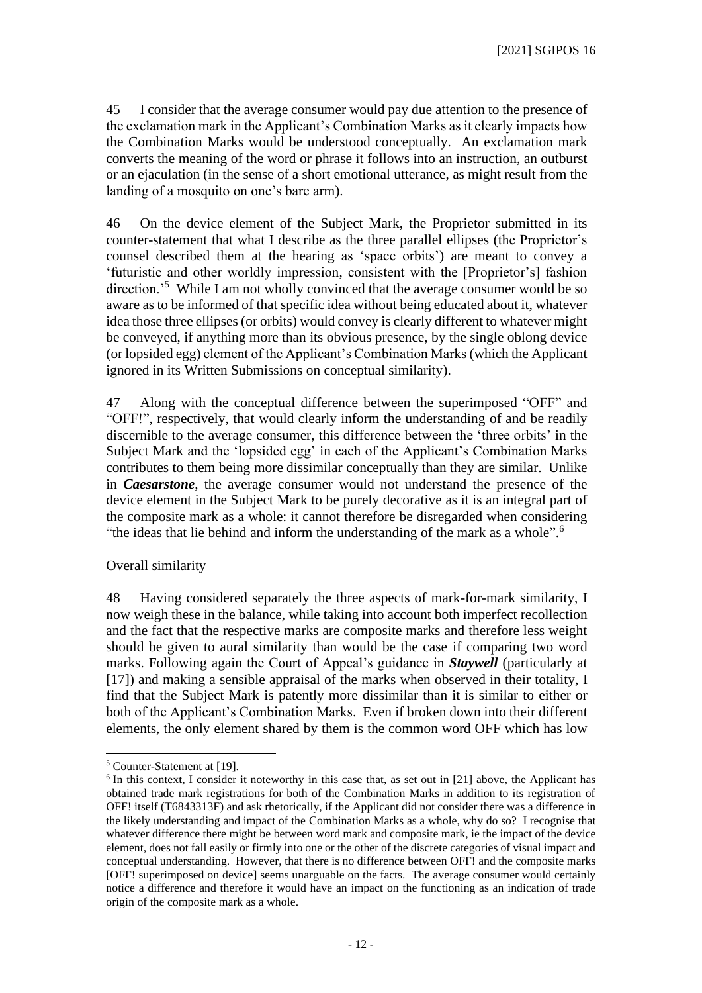45 I consider that the average consumer would pay due attention to the presence of the exclamation mark in the Applicant's Combination Marks as it clearly impacts how the Combination Marks would be understood conceptually. An exclamation mark converts the meaning of the word or phrase it follows into an instruction, an outburst or an ejaculation (in the sense of a short emotional utterance, as might result from the landing of a mosquito on one's bare arm).

46 On the device element of the Subject Mark, the Proprietor submitted in its counter-statement that what I describe as the three parallel ellipses (the Proprietor's counsel described them at the hearing as 'space orbits') are meant to convey a 'futuristic and other worldly impression, consistent with the [Proprietor's] fashion direction.'<sup>5</sup> While I am not wholly convinced that the average consumer would be so aware as to be informed of that specific idea without being educated about it, whatever idea those three ellipses (or orbits) would convey is clearly different to whatever might be conveyed, if anything more than its obvious presence, by the single oblong device (or lopsided egg) element of the Applicant's Combination Marks (which the Applicant ignored in its Written Submissions on conceptual similarity).

47 Along with the conceptual difference between the superimposed "OFF" and "OFF!", respectively, that would clearly inform the understanding of and be readily discernible to the average consumer, this difference between the 'three orbits' in the Subject Mark and the 'lopsided egg' in each of the Applicant's Combination Marks contributes to them being more dissimilar conceptually than they are similar. Unlike in *Caesarstone*, the average consumer would not understand the presence of the device element in the Subject Mark to be purely decorative as it is an integral part of the composite mark as a whole: it cannot therefore be disregarded when considering "the ideas that lie behind and inform the understanding of the mark as a whole".<sup>6</sup>

## Overall similarity

48 Having considered separately the three aspects of mark-for-mark similarity, I now weigh these in the balance, while taking into account both imperfect recollection and the fact that the respective marks are composite marks and therefore less weight should be given to aural similarity than would be the case if comparing two word marks. Following again the Court of Appeal's guidance in *Staywell* (particularly at [17]) and making a sensible appraisal of the marks when observed in their totality, I find that the Subject Mark is patently more dissimilar than it is similar to either or both of the Applicant's Combination Marks. Even if broken down into their different elements, the only element shared by them is the common word OFF which has low

<sup>5</sup> Counter-Statement at [19].

<sup>&</sup>lt;sup>6</sup> In this context, I consider it noteworthy in this case that, as set out in [21] above, the Applicant has obtained trade mark registrations for both of the Combination Marks in addition to its registration of OFF! itself (T6843313F) and ask rhetorically, if the Applicant did not consider there was a difference in the likely understanding and impact of the Combination Marks as a whole, why do so? I recognise that whatever difference there might be between word mark and composite mark, ie the impact of the device element, does not fall easily or firmly into one or the other of the discrete categories of visual impact and conceptual understanding. However, that there is no difference between OFF! and the composite marks [OFF! superimposed on device] seems unarguable on the facts. The average consumer would certainly notice a difference and therefore it would have an impact on the functioning as an indication of trade origin of the composite mark as a whole.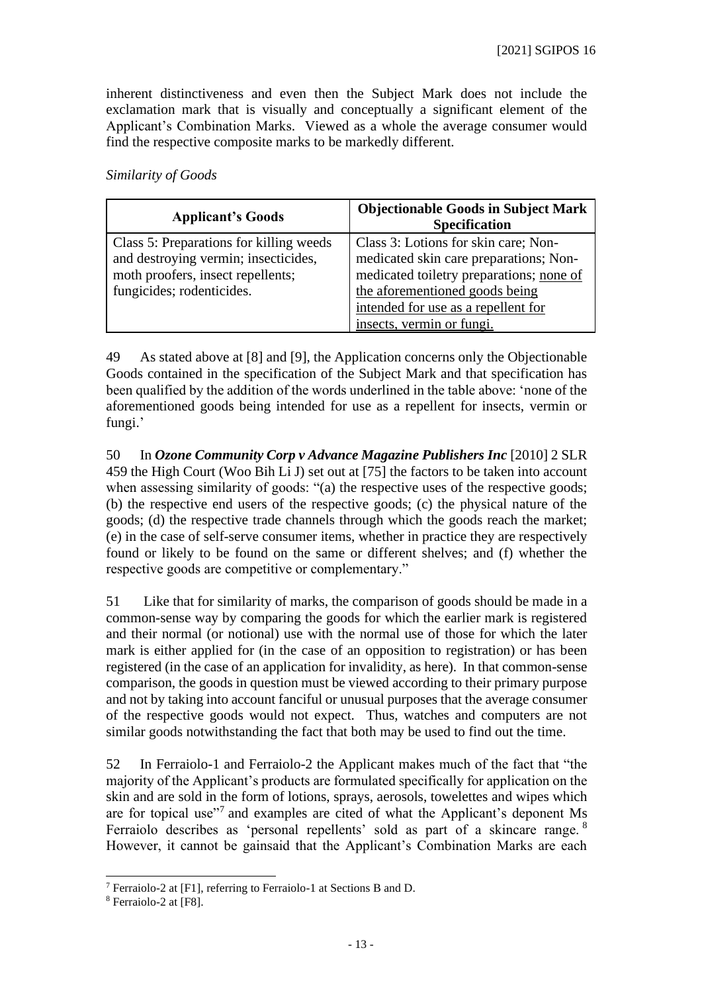inherent distinctiveness and even then the Subject Mark does not include the exclamation mark that is visually and conceptually a significant element of the Applicant's Combination Marks. Viewed as a whole the average consumer would find the respective composite marks to be markedly different.

*Similarity of Goods*

| <b>Applicant's Goods</b>                                                        | <b>Objectionable Goods in Subject Mark</b><br><b>Specification</b>             |
|---------------------------------------------------------------------------------|--------------------------------------------------------------------------------|
| Class 5: Preparations for killing weeds<br>and destroying vermin; insecticides, | Class 3: Lotions for skin care; Non-<br>medicated skin care preparations; Non- |
| moth proofers, insect repellents;                                               | medicated toiletry preparations; none of                                       |
| fungicides; rodenticides.                                                       | the aforementioned goods being                                                 |
|                                                                                 | intended for use as a repellent for                                            |
|                                                                                 | insects, vermin or fungi.                                                      |

49 As stated above at [8] and [9], the Application concerns only the Objectionable Goods contained in the specification of the Subject Mark and that specification has been qualified by the addition of the words underlined in the table above: 'none of the aforementioned goods being intended for use as a repellent for insects, vermin or fungi.'

50 In *Ozone Community Corp v Advance Magazine Publishers Inc* [2010] 2 SLR 459 the High Court (Woo Bih Li J) set out at [75] the factors to be taken into account when assessing similarity of goods: "(a) the respective uses of the respective goods; (b) the respective end users of the respective goods; (c) the physical nature of the goods; (d) the respective trade channels through which the goods reach the market; (e) in the case of self-serve consumer items, whether in practice they are respectively found or likely to be found on the same or different shelves; and (f) whether the respective goods are competitive or complementary."

51 Like that for similarity of marks, the comparison of goods should be made in a common-sense way by comparing the goods for which the earlier mark is registered and their normal (or notional) use with the normal use of those for which the later mark is either applied for (in the case of an opposition to registration) or has been registered (in the case of an application for invalidity, as here). In that common-sense comparison, the goods in question must be viewed according to their primary purpose and not by taking into account fanciful or unusual purposes that the average consumer of the respective goods would not expect. Thus, watches and computers are not similar goods notwithstanding the fact that both may be used to find out the time.

52 In Ferraiolo-1 and Ferraiolo-2 the Applicant makes much of the fact that "the majority of the Applicant's products are formulated specifically for application on the skin and are sold in the form of lotions, sprays, aerosols, towelettes and wipes which are for topical use"<sup>7</sup> and examples are cited of what the Applicant's deponent Ms Ferraiolo describes as 'personal repellents' sold as part of a skincare range. <sup>8</sup> However, it cannot be gainsaid that the Applicant's Combination Marks are each

<sup>7</sup> Ferraiolo-2 at [F1], referring to Ferraiolo-1 at Sections B and D.

<sup>8</sup> Ferraiolo-2 at [F8].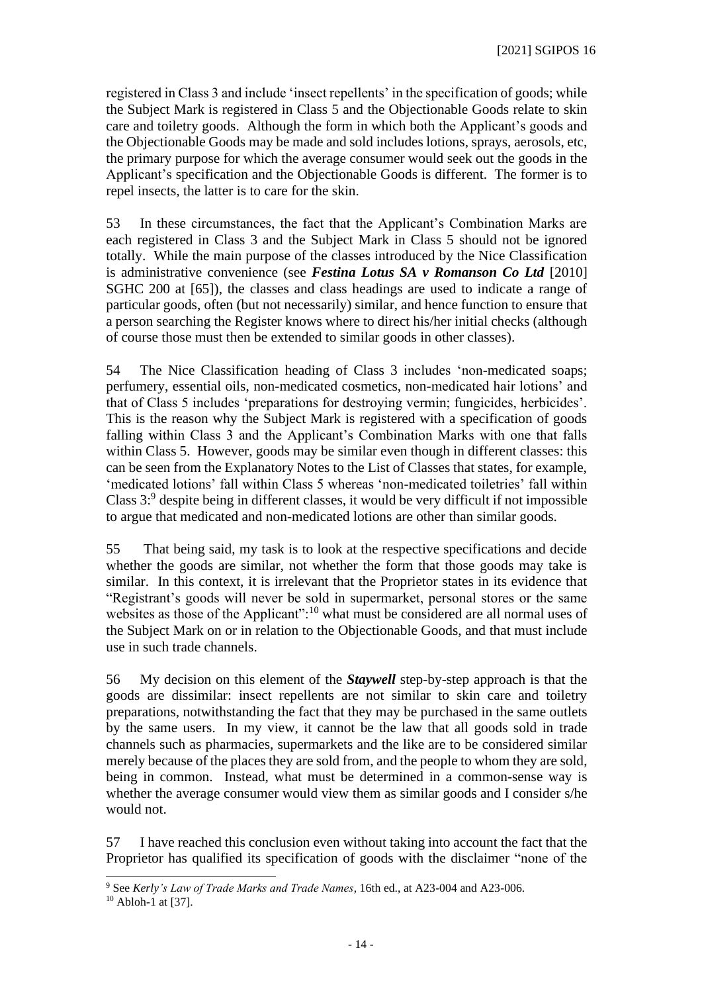registered in Class 3 and include 'insect repellents' in the specification of goods; while the Subject Mark is registered in Class 5 and the Objectionable Goods relate to skin care and toiletry goods. Although the form in which both the Applicant's goods and the Objectionable Goods may be made and sold includes lotions, sprays, aerosols, etc, the primary purpose for which the average consumer would seek out the goods in the Applicant's specification and the Objectionable Goods is different. The former is to repel insects, the latter is to care for the skin.

53 In these circumstances, the fact that the Applicant's Combination Marks are each registered in Class 3 and the Subject Mark in Class 5 should not be ignored totally. While the main purpose of the classes introduced by the Nice Classification is administrative convenience (see *Festina Lotus SA v Romanson Co Ltd* [2010] SGHC 200 at [65]), the classes and class headings are used to indicate a range of particular goods, often (but not necessarily) similar, and hence function to ensure that a person searching the Register knows where to direct his/her initial checks (although of course those must then be extended to similar goods in other classes).

54 The Nice Classification heading of Class 3 includes 'non-medicated soaps; perfumery, essential oils, non-medicated cosmetics, non-medicated hair lotions' and that of Class 5 includes 'preparations for destroying vermin; fungicides, herbicides'. This is the reason why the Subject Mark is registered with a specification of goods falling within Class 3 and the Applicant's Combination Marks with one that falls within Class 5. However, goods may be similar even though in different classes: this can be seen from the Explanatory Notes to the List of Classes that states, for example, 'medicated lotions' fall within Class 5 whereas 'non-medicated toiletries' fall within Class 3:<sup>9</sup> despite being in different classes, it would be very difficult if not impossible to argue that medicated and non-medicated lotions are other than similar goods.

55 That being said, my task is to look at the respective specifications and decide whether the goods are similar, not whether the form that those goods may take is similar. In this context, it is irrelevant that the Proprietor states in its evidence that "Registrant's goods will never be sold in supermarket, personal stores or the same websites as those of the Applicant":<sup>10</sup> what must be considered are all normal uses of the Subject Mark on or in relation to the Objectionable Goods, and that must include use in such trade channels.

56 My decision on this element of the *Staywell* step-by-step approach is that the goods are dissimilar: insect repellents are not similar to skin care and toiletry preparations, notwithstanding the fact that they may be purchased in the same outlets by the same users. In my view, it cannot be the law that all goods sold in trade channels such as pharmacies, supermarkets and the like are to be considered similar merely because of the places they are sold from, and the people to whom they are sold, being in common. Instead, what must be determined in a common-sense way is whether the average consumer would view them as similar goods and I consider s/he would not.

57 I have reached this conclusion even without taking into account the fact that the Proprietor has qualified its specification of goods with the disclaimer "none of the

<sup>9</sup> See *Kerly's Law of Trade Marks and Trade Names*, 16th ed., at A23-004 and A23-006.  $10$  Abloh-1 at [37].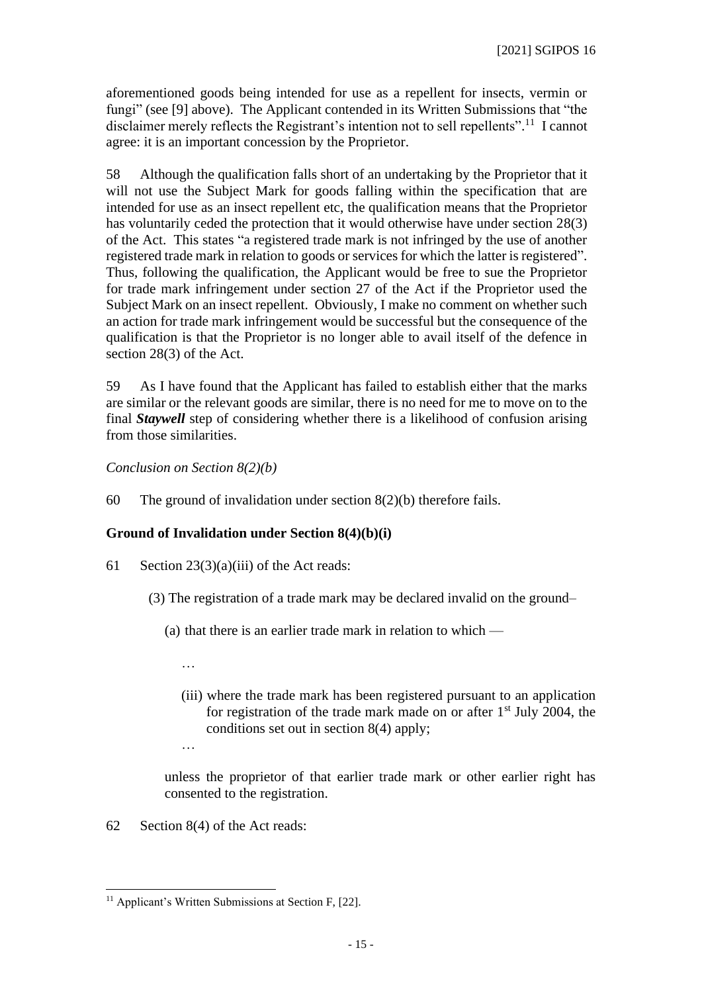aforementioned goods being intended for use as a repellent for insects, vermin or fungi" (see [9] above). The Applicant contended in its Written Submissions that "the disclaimer merely reflects the Registrant's intention not to sell repellents".<sup>11</sup> I cannot agree: it is an important concession by the Proprietor.

58 Although the qualification falls short of an undertaking by the Proprietor that it will not use the Subject Mark for goods falling within the specification that are intended for use as an insect repellent etc, the qualification means that the Proprietor has voluntarily ceded the protection that it would otherwise have under section 28(3) of the Act. This states "a registered trade mark is not infringed by the use of another registered trade mark in relation to goods or services for which the latter is registered". Thus, following the qualification, the Applicant would be free to sue the Proprietor for trade mark infringement under section 27 of the Act if the Proprietor used the Subject Mark on an insect repellent. Obviously, I make no comment on whether such an action for trade mark infringement would be successful but the consequence of the qualification is that the Proprietor is no longer able to avail itself of the defence in section 28(3) of the Act.

59 As I have found that the Applicant has failed to establish either that the marks are similar or the relevant goods are similar, there is no need for me to move on to the final *Staywell* step of considering whether there is a likelihood of confusion arising from those similarities.

*Conclusion on Section 8(2)(b)*

60 The ground of invalidation under section 8(2)(b) therefore fails.

## **Ground of Invalidation under Section 8(4)(b)(i)**

- 61 Section 23(3)(a)(iii) of the Act reads:
	- (3) The registration of a trade mark may be declared invalid on the ground–
		- (a) that there is an earlier trade mark in relation to which
			- …
			- (iii) where the trade mark has been registered pursuant to an application for registration of the trade mark made on or after  $1<sup>st</sup>$  July 2004, the conditions set out in section 8(4) apply;
			- …

unless the proprietor of that earlier trade mark or other earlier right has consented to the registration.

62 Section 8(4) of the Act reads:

 $11$  Applicant's Written Submissions at Section F, [22].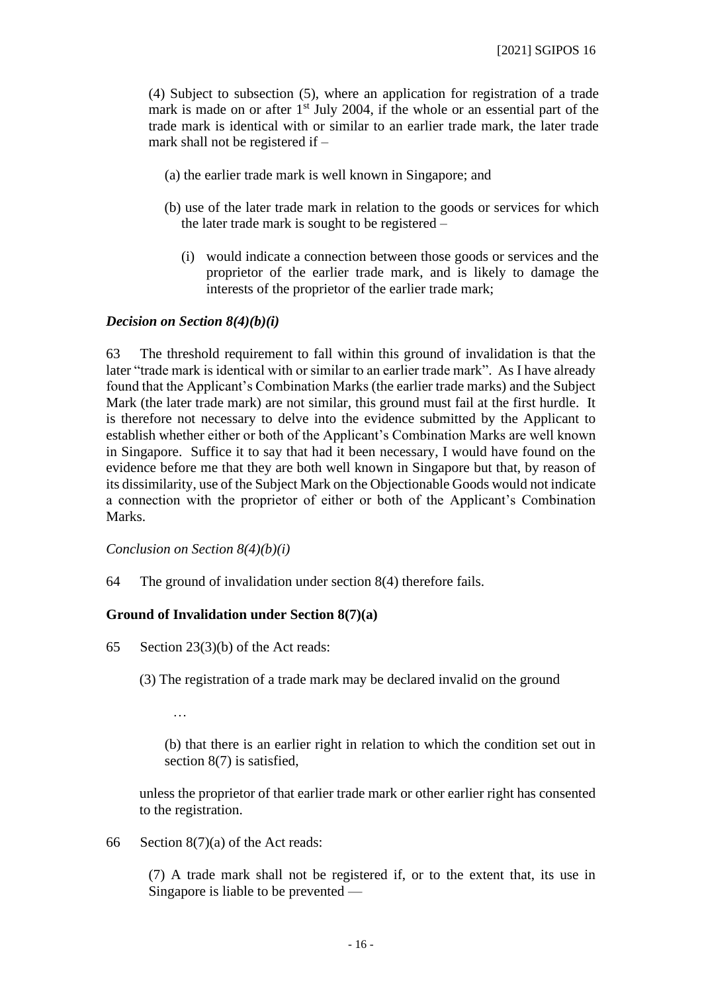(4) Subject to subsection (5), where an application for registration of a trade mark is made on or after  $1<sup>st</sup>$  July 2004, if the whole or an essential part of the trade mark is identical with or similar to an earlier trade mark, the later trade mark shall not be registered if –

- (a) the earlier trade mark is well known in Singapore; and
- (b) use of the later trade mark in relation to the goods or services for which the later trade mark is sought to be registered –
	- (i) would indicate a connection between those goods or services and the proprietor of the earlier trade mark, and is likely to damage the interests of the proprietor of the earlier trade mark;

## *Decision on Section 8(4)(b)(i)*

63 The threshold requirement to fall within this ground of invalidation is that the later "trade mark is identical with or similar to an earlier trade mark". As I have already found that the Applicant's Combination Marks (the earlier trade marks) and the Subject Mark (the later trade mark) are not similar, this ground must fail at the first hurdle. It is therefore not necessary to delve into the evidence submitted by the Applicant to establish whether either or both of the Applicant's Combination Marks are well known in Singapore. Suffice it to say that had it been necessary, I would have found on the evidence before me that they are both well known in Singapore but that, by reason of its dissimilarity, use of the Subject Mark on the Objectionable Goods would not indicate a connection with the proprietor of either or both of the Applicant's Combination Marks.

*Conclusion on Section 8(4)(b)(i)*

64 The ground of invalidation under section 8(4) therefore fails.

## **Ground of Invalidation under Section 8(7)(a)**

- 65 Section 23(3)(b) of the Act reads:
	- (3) The registration of a trade mark may be declared invalid on the ground

…

(b) that there is an earlier right in relation to which the condition set out in section 8(7) is satisfied,

unless the proprietor of that earlier trade mark or other earlier right has consented to the registration.

66 Section 8(7)(a) of the Act reads:

(7) A trade mark shall not be registered if, or to the extent that, its use in Singapore is liable to be prevented —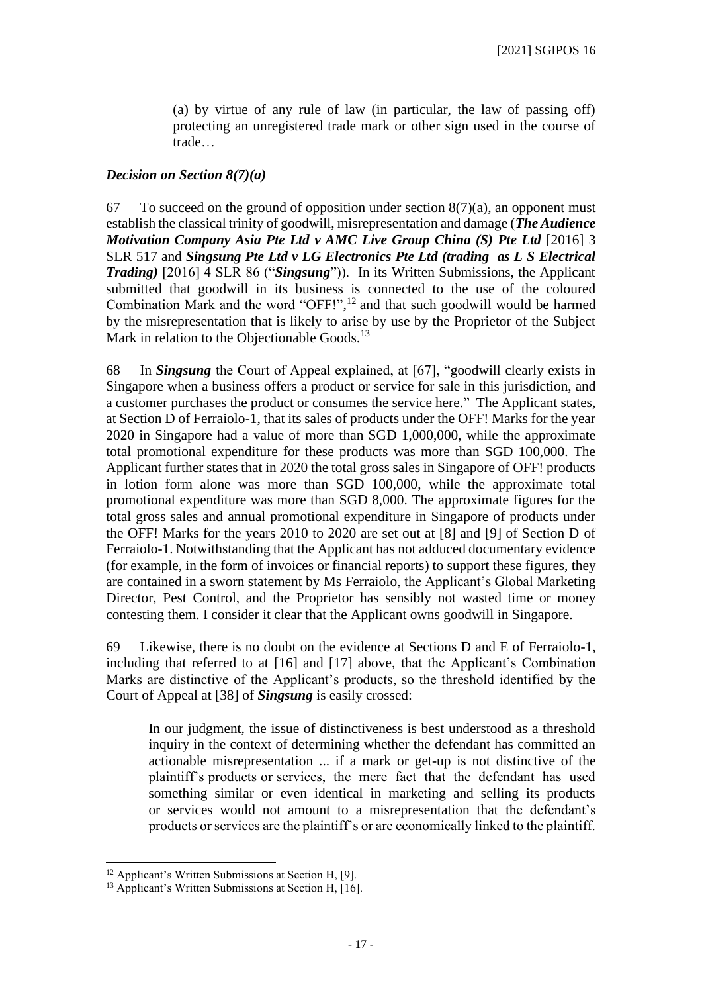(a) by virtue of any rule of law (in particular, the law of passing off) protecting an unregistered trade mark or other sign used in the course of trade…

## *Decision on Section 8(7)(a)*

67 To succeed on the ground of opposition under section  $8(7)(a)$ , an opponent must establish the classical trinity of goodwill, misrepresentation and damage (*The Audience Motivation Company Asia Pte Ltd v AMC Live Group China (S) Pte Ltd* [2016] 3 SLR 517 and *Singsung Pte Ltd v LG Electronics Pte Ltd (trading as L S Electrical Trading)* [2016] 4 SLR 86 ("*Singsung*")). In its Written Submissions, the Applicant submitted that goodwill in its business is connected to the use of the coloured Combination Mark and the word "OFF!", <sup>12</sup> and that such goodwill would be harmed by the misrepresentation that is likely to arise by use by the Proprietor of the Subject Mark in relation to the Objectionable Goods.<sup>13</sup>

68 In *Singsung* the Court of Appeal explained, at [67], "goodwill clearly exists in Singapore when a business offers a product or service for sale in this jurisdiction, and a customer purchases the product or consumes the service here." The Applicant states, at Section D of Ferraiolo-1, that its sales of products under the OFF! Marks for the year 2020 in Singapore had a value of more than SGD 1,000,000, while the approximate total promotional expenditure for these products was more than SGD 100,000. The Applicant further states that in 2020 the total gross sales in Singapore of OFF! products in lotion form alone was more than SGD 100,000, while the approximate total promotional expenditure was more than SGD 8,000. The approximate figures for the total gross sales and annual promotional expenditure in Singapore of products under the OFF! Marks for the years 2010 to 2020 are set out at [8] and [9] of Section D of Ferraiolo-1. Notwithstanding that the Applicant has not adduced documentary evidence (for example, in the form of invoices or financial reports) to support these figures, they are contained in a sworn statement by Ms Ferraiolo, the Applicant's Global Marketing Director, Pest Control, and the Proprietor has sensibly not wasted time or money contesting them. I consider it clear that the Applicant owns goodwill in Singapore.

69 Likewise, there is no doubt on the evidence at Sections D and E of Ferraiolo-1, including that referred to at [16] and [17] above, that the Applicant's Combination Marks are distinctive of the Applicant's products, so the threshold identified by the Court of Appeal at [38] of *Singsung* is easily crossed:

In our judgment, the issue of distinctiveness is best understood as a threshold inquiry in the context of determining whether the defendant has committed an actionable misrepresentation ... if a mark or get-up is not distinctive of the plaintiff's products or services, the mere fact that the defendant has used something similar or even identical in marketing and selling its products or services would not amount to a misrepresentation that the defendant's products or services are the plaintiff's or are economically linked to the plaintiff.

<sup>12</sup> Applicant's Written Submissions at Section H, [9].

 $13$  Applicant's Written Submissions at Section H, [16].